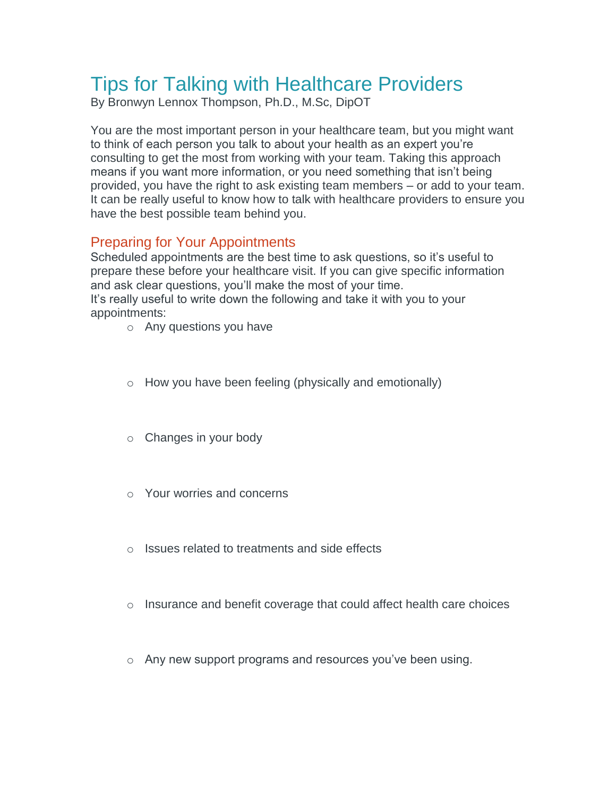# Tips for Talking with Healthcare Providers

By Bronwyn Lennox Thompson, Ph.D., M.Sc, DipOT

You are the most important person in your healthcare team, but you might want to think of each person you talk to about your health as an expert you're consulting to get the most from working with your team. Taking this approach means if you want more information, or you need something that isn't being provided, you have the right to ask existing team members – or add to your team. It can be really useful to know how to talk with healthcare providers to ensure you have the best possible team behind you.

### Preparing for Your Appointments

Scheduled appointments are the best time to ask questions, so it's useful to prepare these before your healthcare visit. If you can give specific information and ask clear questions, you'll make the most of your time. It's really useful to write down the following and take it with you to your appointments:

- o Any questions you have
- o How you have been feeling (physically and emotionally)
- o Changes in your body
- o Your worries and concerns
- o Issues related to treatments and side effects
- $\circ$  Insurance and benefit coverage that could affect health care choices
- o Any new support programs and resources you've been using.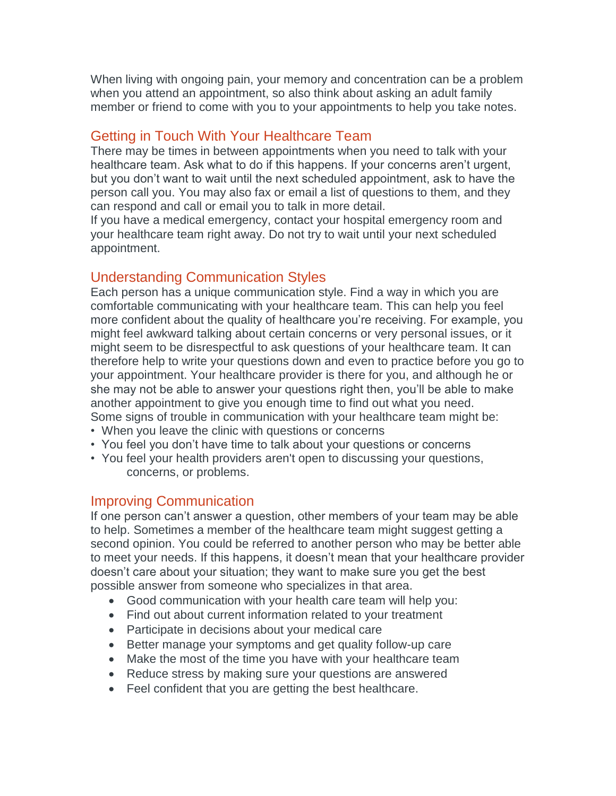When living with ongoing pain, your memory and concentration can be a problem when you attend an appointment, so also think about asking an adult family member or friend to come with you to your appointments to help you take notes.

#### Getting in Touch With Your Healthcare Team

There may be times in between appointments when you need to talk with your healthcare team. Ask what to do if this happens. If your concerns aren't urgent, but you don't want to wait until the next scheduled appointment, ask to have the person call you. You may also fax or email a list of questions to them, and they can respond and call or email you to talk in more detail.

If you have a medical emergency, contact your hospital emergency room and your healthcare team right away. Do not try to wait until your next scheduled appointment.

## Understanding Communication Styles

Each person has a unique communication style. Find a way in which you are comfortable communicating with your healthcare team. This can help you feel more confident about the quality of healthcare you're receiving. For example, you might feel awkward talking about certain concerns or very personal issues, or it might seem to be disrespectful to ask questions of your healthcare team. It can therefore help to write your questions down and even to practice before you go to your appointment. Your healthcare provider is there for you, and although he or she may not be able to answer your questions right then, you'll be able to make another appointment to give you enough time to find out what you need. Some signs of trouble in communication with your healthcare team might be:

- When you leave the clinic with questions or concerns
- You feel you don't have time to talk about your questions or concerns
- You feel your health providers aren't open to discussing your questions, concerns, or problems.

#### Improving Communication

If one person can't answer a question, other members of your team may be able to help. Sometimes a member of the healthcare team might suggest getting a second opinion. You could be referred to another person who may be better able to meet your needs. If this happens, it doesn't mean that your healthcare provider doesn't care about your situation; they want to make sure you get the best possible answer from someone who specializes in that area.

- Good communication with your health care team will help you:
- Find out about current information related to your treatment
- Participate in decisions about your medical care
- Better manage your symptoms and get quality follow-up care
- Make the most of the time you have with your healthcare team
- Reduce stress by making sure your questions are answered
- Feel confident that you are getting the best healthcare.